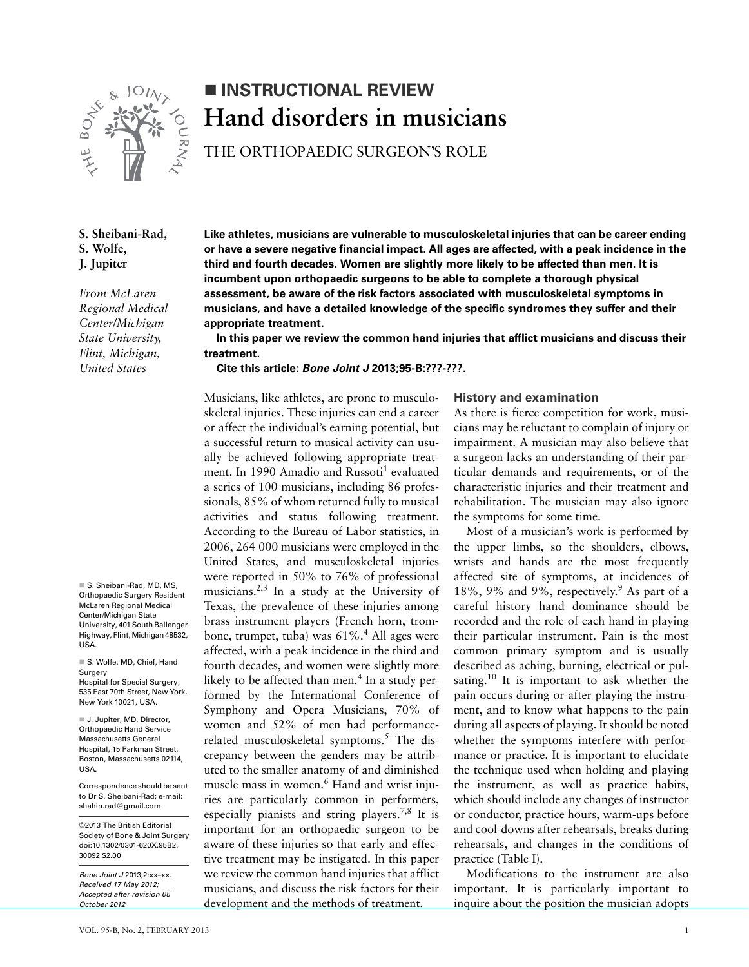

# **INSTRUCTIONAL REVIEW Hand disorders in musicians**

THE ORTHOPAEDIC SURGEON'S ROLE

## **S. Sheibani-Rad, S. Wolfe, J. Jupiter**

*From McLaren Regional Medical Center/Michigan State University, Flint, Michigan, United States*

■ S. Sheibani-Rad, MD, MS, Orthopaedic Surgery Resident McLaren Regional Medical Center/Michigan State University, 401 South Ballenger Highway, Flint, Michigan 48532, **USA** 

■ S. Wolfe, MD, Chief, Hand Surgery Hospital for Special Surgery, 535 East 70th Street, New York, New York 10021, USA.

■ J. Jupiter, MD, Director, Orthopaedic Hand Service Massachusetts General Hospital, 15 Parkman Street, Boston, Massachusetts 02114, USA.

Correspondence should be sent to Dr S. Sheibani-Rad; e-mail: shahin.rad@gmail.com

©2013 The British Editorial Society of Bone & Joint Surgery doi:10.1302/0301-620X.95B2. 30092 \$2.00

*Bone Joint J* 2013;2:xx–xx. *Received 17 May 2012; Accepted after revision 05 October 2012*

**Like athletes, musicians are vulnerable to musculoskeletal injuries that can be career ending or have a severe negative financial impact. All ages are affected, with a peak incidence in the third and fourth decades. Women are slightly more likely to be affected than men. It is incumbent upon orthopaedic surgeons to be able to complete a thorough physical assessment, be aware of the risk factors associated with musculoskeletal symptoms in musicians, and have a detailed knowledge of the specific syndromes they suffer and their appropriate treatment.**

**In this paper we review the common hand injuries that afflict musicians and discuss their treatment.**

**Cite this article:** *Bone Joint J* **2013;95-B:???-???.**

Musicians, like athletes, are prone to musculoskeletal injuries. These injuries can end a career or affect the individual's earning potential, but a successful return to musical activity can usually be achieved following appropriate treatment. In 1990 Amadio and Russoti<sup>1</sup> evaluated a series of 100 musicians, including 86 professionals, 85% of whom returned fully to musical activities and status following treatment. According to the Bureau of Labor statistics, in 2006, 264 000 musicians were employed in the United States, and musculoskeletal injuries were reported in 50% to 76% of professional musicians.2,3 In a study at the University of Texas, the prevalence of these injuries among brass instrument players (French horn, trombone, trumpet, tuba) was 61%.<sup>4</sup> All ages were affected, with a peak incidence in the third and fourth decades, and women were slightly more likely to be affected than men.<sup>4</sup> In a study performed by the International Conference of Symphony and Opera Musicians, 70% of women and 52% of men had performancerelated musculoskeletal symptoms.<sup>5</sup> The discrepancy between the genders may be attributed to the smaller anatomy of and diminished muscle mass in women.<sup>6</sup> Hand and wrist injuries are particularly common in performers, especially pianists and string players.7,8 It is important for an orthopaedic surgeon to be aware of these injuries so that early and effective treatment may be instigated. In this paper we review the common hand injuries that afflict musicians, and discuss the risk factors for their development and the methods of treatment.

### **History and examination**

As there is fierce competition for work, musicians may be reluctant to complain of injury or impairment. A musician may also believe that a surgeon lacks an understanding of their particular demands and requirements, or of the characteristic injuries and their treatment and rehabilitation. The musician may also ignore the symptoms for some time.

Most of a musician's work is performed by the upper limbs, so the shoulders, elbows, wrists and hands are the most frequently affected site of symptoms, at incidences of 18%, 9% and 9%, respectively.<sup>9</sup> As part of a careful history hand dominance should be recorded and the role of each hand in playing their particular instrument. Pain is the most common primary symptom and is usually described as aching, burning, electrical or pulsating.<sup>10</sup> It is important to ask whether the pain occurs during or after playing the instrument, and to know what happens to the pain during all aspects of playing. It should be noted whether the symptoms interfere with performance or practice. It is important to elucidate the technique used when holding and playing the instrument, as well as practice habits, which should include any changes of instructor or conductor, practice hours, warm-ups before and cool-downs after rehearsals, breaks during rehearsals, and changes in the conditions of practice (Table I).

Modifications to the instrument are also important. It is particularly important to inquire about the position the musician adopts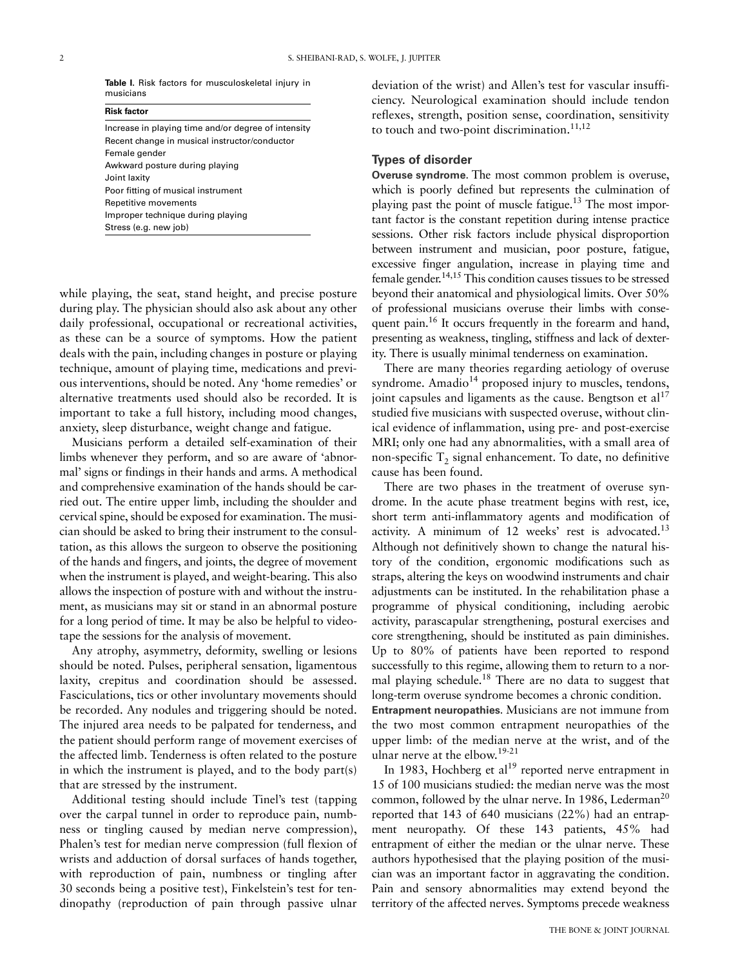|           |  | Table I. Risk factors for musculoskeletal injury in |  |
|-----------|--|-----------------------------------------------------|--|
| musicians |  |                                                     |  |

| <b>Risk factor</b>                                  |  |
|-----------------------------------------------------|--|
| Increase in playing time and/or degree of intensity |  |
| Recent change in musical instructor/conductor       |  |
| Female gender                                       |  |
| Awkward posture during playing                      |  |
| Joint laxity                                        |  |
| Poor fitting of musical instrument                  |  |
| Repetitive movements                                |  |
| Improper technique during playing                   |  |
| Stress (e.g. new job)                               |  |

while playing, the seat, stand height, and precise posture during play. The physician should also ask about any other daily professional, occupational or recreational activities, as these can be a source of symptoms. How the patient deals with the pain, including changes in posture or playing technique, amount of playing time, medications and previous interventions, should be noted. Any 'home remedies' or alternative treatments used should also be recorded. It is important to take a full history, including mood changes, anxiety, sleep disturbance, weight change and fatigue.

Musicians perform a detailed self-examination of their limbs whenever they perform, and so are aware of 'abnormal' signs or findings in their hands and arms. A methodical and comprehensive examination of the hands should be carried out. The entire upper limb, including the shoulder and cervical spine, should be exposed for examination. The musician should be asked to bring their instrument to the consultation, as this allows the surgeon to observe the positioning of the hands and fingers, and joints, the degree of movement when the instrument is played, and weight-bearing. This also allows the inspection of posture with and without the instrument, as musicians may sit or stand in an abnormal posture for a long period of time. It may be also be helpful to videotape the sessions for the analysis of movement.

Any atrophy, asymmetry, deformity, swelling or lesions should be noted. Pulses, peripheral sensation, ligamentous laxity, crepitus and coordination should be assessed. Fasciculations, tics or other involuntary movements should be recorded. Any nodules and triggering should be noted. The injured area needs to be palpated for tenderness, and the patient should perform range of movement exercises of the affected limb. Tenderness is often related to the posture in which the instrument is played, and to the body part(s) that are stressed by the instrument.

Additional testing should include Tinel's test (tapping over the carpal tunnel in order to reproduce pain, numbness or tingling caused by median nerve compression), Phalen's test for median nerve compression (full flexion of wrists and adduction of dorsal surfaces of hands together, with reproduction of pain, numbness or tingling after 30 seconds being a positive test), Finkelstein's test for tendinopathy (reproduction of pain through passive ulnar

deviation of the wrist) and Allen's test for vascular insufficiency. Neurological examination should include tendon reflexes, strength, position sense, coordination, sensitivity to touch and two-point discrimination. $11,12$ 

#### **Types of disorder**

**Overuse syndrome.** The most common problem is overuse, which is poorly defined but represents the culmination of playing past the point of muscle fatigue.<sup>13</sup> The most important factor is the constant repetition during intense practice sessions. Other risk factors include physical disproportion between instrument and musician, poor posture, fatigue, excessive finger angulation, increase in playing time and female gender.14,15 This condition causes tissues to be stressed beyond their anatomical and physiological limits. Over 50% of professional musicians overuse their limbs with consequent pain.<sup>16</sup> It occurs frequently in the forearm and hand, presenting as weakness, tingling, stiffness and lack of dexterity. There is usually minimal tenderness on examination.

There are many theories regarding aetiology of overuse syndrome. Amadio $14$  proposed injury to muscles, tendons, joint capsules and ligaments as the cause. Bengtson et  $al<sup>17</sup>$ studied five musicians with suspected overuse, without clinical evidence of inflammation, using pre- and post-exercise MRI; only one had any abnormalities, with a small area of non-specific  $T<sub>2</sub>$  signal enhancement. To date, no definitive cause has been found.

There are two phases in the treatment of overuse syndrome. In the acute phase treatment begins with rest, ice, short term anti-inflammatory agents and modification of activity. A minimum of  $12$  weeks' rest is advocated.<sup>13</sup> Although not definitively shown to change the natural history of the condition, ergonomic modifications such as straps, altering the keys on woodwind instruments and chair adjustments can be instituted. In the rehabilitation phase a programme of physical conditioning, including aerobic activity, parascapular strengthening, postural exercises and core strengthening, should be instituted as pain diminishes. Up to 80% of patients have been reported to respond successfully to this regime, allowing them to return to a normal playing schedule.18 There are no data to suggest that long-term overuse syndrome becomes a chronic condition. **Entrapment neuropathies.** Musicians are not immune from the two most common entrapment neuropathies of the upper limb: of the median nerve at the wrist, and of the ulnar nerve at the elbow.19-21

In 1983, Hochberg et al<sup>19</sup> reported nerve entrapment in 15 of 100 musicians studied: the median nerve was the most common, followed by the ulnar nerve. In 1986, Lederman<sup>20</sup> reported that 143 of 640 musicians (22%) had an entrapment neuropathy. Of these 143 patients, 45% had entrapment of either the median or the ulnar nerve. These authors hypothesised that the playing position of the musician was an important factor in aggravating the condition. Pain and sensory abnormalities may extend beyond the territory of the affected nerves. Symptoms precede weakness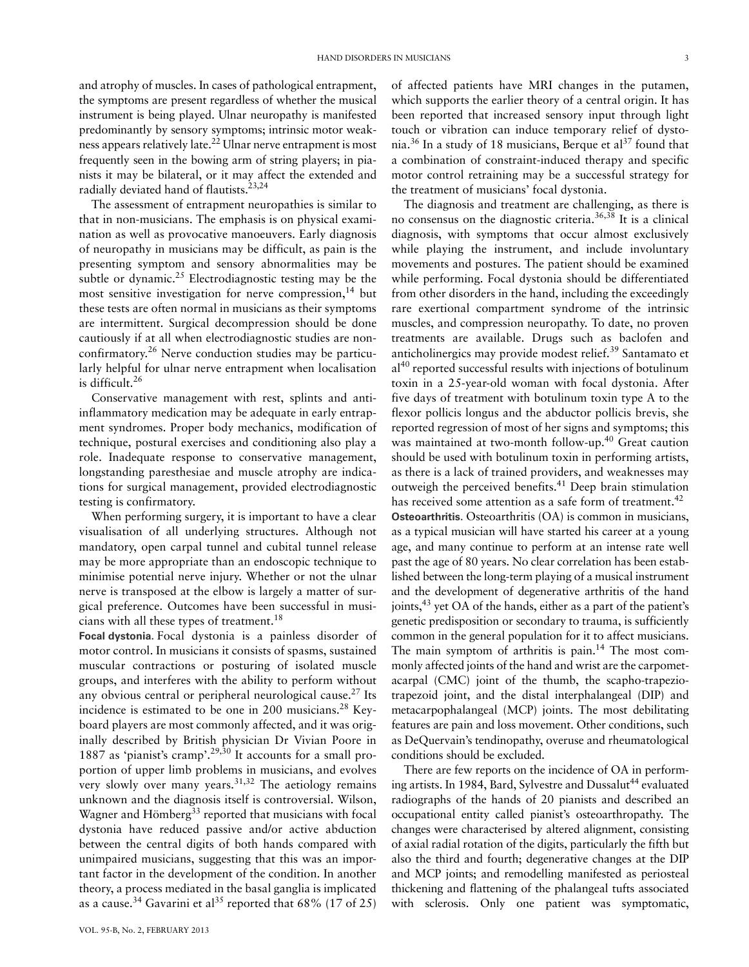and atrophy of muscles. In cases of pathological entrapment, the symptoms are present regardless of whether the musical instrument is being played. Ulnar neuropathy is manifested predominantly by sensory symptoms; intrinsic motor weakness appears relatively late.22 Ulnar nerve entrapment is most frequently seen in the bowing arm of string players; in pianists it may be bilateral, or it may affect the extended and radially deviated hand of flautists.<sup>23,24</sup>

The assessment of entrapment neuropathies is similar to that in non-musicians. The emphasis is on physical examination as well as provocative manoeuvers. Early diagnosis of neuropathy in musicians may be difficult, as pain is the presenting symptom and sensory abnormalities may be subtle or dynamic.<sup>25</sup> Electrodiagnostic testing may be the most sensitive investigation for nerve compression,  $14$  but these tests are often normal in musicians as their symptoms are intermittent. Surgical decompression should be done cautiously if at all when electrodiagnostic studies are nonconfirmatory.26 Nerve conduction studies may be particularly helpful for ulnar nerve entrapment when localisation is difficult.<sup>26</sup>

Conservative management with rest, splints and antiinflammatory medication may be adequate in early entrapment syndromes. Proper body mechanics, modification of technique, postural exercises and conditioning also play a role. Inadequate response to conservative management, longstanding paresthesiae and muscle atrophy are indications for surgical management, provided electrodiagnostic testing is confirmatory.

When performing surgery, it is important to have a clear visualisation of all underlying structures. Although not mandatory, open carpal tunnel and cubital tunnel release may be more appropriate than an endoscopic technique to minimise potential nerve injury. Whether or not the ulnar nerve is transposed at the elbow is largely a matter of surgical preference. Outcomes have been successful in musicians with all these types of treatment.<sup>18</sup>

**Focal dystonia.** Focal dystonia is a painless disorder of motor control. In musicians it consists of spasms, sustained muscular contractions or posturing of isolated muscle groups, and interferes with the ability to perform without any obvious central or peripheral neurological cause.<sup>27</sup> Its incidence is estimated to be one in 200 musicians.<sup>28</sup> Keyboard players are most commonly affected, and it was originally described by British physician Dr Vivian Poore in 1887 as 'pianist's cramp'.<sup>29,30</sup> It accounts for a small proportion of upper limb problems in musicians, and evolves very slowly over many years. $31,32$  The aetiology remains unknown and the diagnosis itself is controversial. Wilson, Wagner and Hömberg<sup>33</sup> reported that musicians with focal dystonia have reduced passive and/or active abduction between the central digits of both hands compared with unimpaired musicians, suggesting that this was an important factor in the development of the condition. In another theory, a process mediated in the basal ganglia is implicated as a cause.<sup>34</sup> Gavarini et al<sup>35</sup> reported that 68% (17 of 25)

VOL. 95-B, No. 2, FEBRUARY 2013

of affected patients have MRI changes in the putamen, which supports the earlier theory of a central origin. It has been reported that increased sensory input through light touch or vibration can induce temporary relief of dystonia.<sup>36</sup> In a study of 18 musicians, Berque et al<sup>37</sup> found that a combination of constraint-induced therapy and specific motor control retraining may be a successful strategy for the treatment of musicians' focal dystonia.

The diagnosis and treatment are challenging, as there is no consensus on the diagnostic criteria.<sup>36,38</sup> It is a clinical diagnosis, with symptoms that occur almost exclusively while playing the instrument, and include involuntary movements and postures. The patient should be examined while performing. Focal dystonia should be differentiated from other disorders in the hand, including the exceedingly rare exertional compartment syndrome of the intrinsic muscles, and compression neuropathy. To date, no proven treatments are available. Drugs such as baclofen and anticholinergics may provide modest relief.39 Santamato et  $a<sup>140</sup>$  reported successful results with injections of botulinum toxin in a 25-year-old woman with focal dystonia. After five days of treatment with botulinum toxin type A to the flexor pollicis longus and the abductor pollicis brevis, she reported regression of most of her signs and symptoms; this was maintained at two-month follow-up.<sup>40</sup> Great caution should be used with botulinum toxin in performing artists, as there is a lack of trained providers, and weaknesses may outweigh the perceived benefits.<sup>41</sup> Deep brain stimulation has received some attention as a safe form of treatment.<sup>42</sup>

**Osteoarthritis.** Osteoarthritis (OA) is common in musicians, as a typical musician will have started his career at a young age, and many continue to perform at an intense rate well past the age of 80 years. No clear correlation has been established between the long-term playing of a musical instrument and the development of degenerative arthritis of the hand joints,  $43$  yet OA of the hands, either as a part of the patient's genetic predisposition or secondary to trauma, is sufficiently common in the general population for it to affect musicians. The main symptom of arthritis is pain.<sup>14</sup> The most commonly affected joints of the hand and wrist are the carpometacarpal (CMC) joint of the thumb, the scapho-trapeziotrapezoid joint, and the distal interphalangeal (DIP) and metacarpophalangeal (MCP) joints. The most debilitating features are pain and loss movement. Other conditions, such as DeQuervain's tendinopathy, overuse and rheumatological conditions should be excluded.

There are few reports on the incidence of OA in performing artists. In 1984, Bard, Sylvestre and Dussalut<sup>44</sup> evaluated radiographs of the hands of 20 pianists and described an occupational entity called pianist's osteoarthropathy. The changes were characterised by altered alignment, consisting of axial radial rotation of the digits, particularly the fifth but also the third and fourth; degenerative changes at the DIP and MCP joints; and remodelling manifested as periosteal thickening and flattening of the phalangeal tufts associated with sclerosis. Only one patient was symptomatic,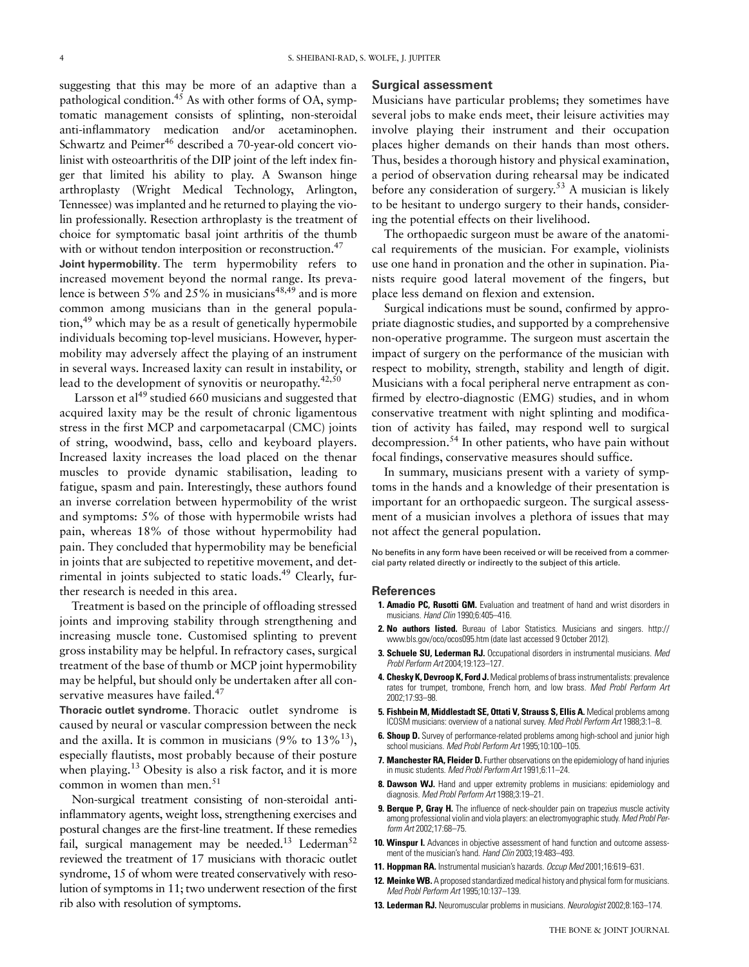suggesting that this may be more of an adaptive than a pathological condition.<sup>45</sup> As with other forms of OA, symptomatic management consists of splinting, non-steroidal anti-inflammatory medication and/or acetaminophen. Schwartz and Peimer<sup>46</sup> described a 70-year-old concert violinist with osteoarthritis of the DIP joint of the left index finger that limited his ability to play. A Swanson hinge arthroplasty (Wright Medical Technology, Arlington, Tennessee) was implanted and he returned to playing the violin professionally. Resection arthroplasty is the treatment of choice for symptomatic basal joint arthritis of the thumb with or without tendon interposition or reconstruction.<sup>47</sup> **Joint hypermobility.** The term hypermobility refers to increased movement beyond the normal range. Its prevalence is between 5% and 25% in musicians<sup>48,49</sup> and is more common among musicians than in the general population,49 which may be as a result of genetically hypermobile individuals becoming top-level musicians. However, hypermobility may adversely affect the playing of an instrument in several ways. Increased laxity can result in instability, or lead to the development of synovitis or neuropathy.<sup>42,50</sup>

Larsson et al<sup>49</sup> studied 660 musicians and suggested that acquired laxity may be the result of chronic ligamentous stress in the first MCP and carpometacarpal (CMC) joints of string, woodwind, bass, cello and keyboard players. Increased laxity increases the load placed on the thenar muscles to provide dynamic stabilisation, leading to fatigue, spasm and pain. Interestingly, these authors found an inverse correlation between hypermobility of the wrist and symptoms: 5% of those with hypermobile wrists had pain, whereas 18% of those without hypermobility had pain. They concluded that hypermobility may be beneficial in joints that are subjected to repetitive movement, and detrimental in joints subjected to static loads.<sup>49</sup> Clearly, further research is needed in this area.

Treatment is based on the principle of offloading stressed joints and improving stability through strengthening and increasing muscle tone. Customised splinting to prevent gross instability may be helpful. In refractory cases, surgical treatment of the base of thumb or MCP joint hypermobility may be helpful, but should only be undertaken after all conservative measures have failed.<sup>47</sup>

**Thoracic outlet syndrome.** Thoracic outlet syndrome is caused by neural or vascular compression between the neck and the axilla. It is common in musicians  $(9\% \text{ to } 13\%/13)$ , especially flautists, most probably because of their posture when playing.<sup>13</sup> Obesity is also a risk factor, and it is more common in women than men.<sup>51</sup>

Non-surgical treatment consisting of non-steroidal antiinflammatory agents, weight loss, strengthening exercises and postural changes are the first-line treatment. If these remedies fail, surgical management may be needed.<sup>13</sup> Lederman<sup>52</sup> reviewed the treatment of 17 musicians with thoracic outlet syndrome, 15 of whom were treated conservatively with resolution of symptoms in 11; two underwent resection of the first rib also with resolution of symptoms.

#### **Surgical assessment**

Musicians have particular problems; they sometimes have several jobs to make ends meet, their leisure activities may involve playing their instrument and their occupation places higher demands on their hands than most others. Thus, besides a thorough history and physical examination, a period of observation during rehearsal may be indicated before any consideration of surgery.53 A musician is likely to be hesitant to undergo surgery to their hands, considering the potential effects on their livelihood.

The orthopaedic surgeon must be aware of the anatomical requirements of the musician. For example, violinists use one hand in pronation and the other in supination. Pianists require good lateral movement of the fingers, but place less demand on flexion and extension.

Surgical indications must be sound, confirmed by appropriate diagnostic studies, and supported by a comprehensive non-operative programme. The surgeon must ascertain the impact of surgery on the performance of the musician with respect to mobility, strength, stability and length of digit. Musicians with a focal peripheral nerve entrapment as confirmed by electro-diagnostic (EMG) studies, and in whom conservative treatment with night splinting and modification of activity has failed, may respond well to surgical decompression.54 In other patients, who have pain without focal findings, conservative measures should suffice.

In summary, musicians present with a variety of symptoms in the hands and a knowledge of their presentation is important for an orthopaedic surgeon. The surgical assessment of a musician involves a plethora of issues that may not affect the general population.

No benefits in any form have been received or will be received from a commercial party related directly or indirectly to the subject of this article.

#### **References**

- **1. Amadio PC, Rusotti GM.** Evaluation and treatment of hand and wrist disorders in musicians. *Hand Clin* 1990;6:405–416.
- **2. No authors listed.** Bureau of Labor Statistics. Musicians and singers. http:// www.bls.gov/oco/ocos095.htm (date last accessed 9 October 2012).
- **3. Schuele SU, Lederman RJ.** Occupational disorders in instrumental musicians. *Med Probl Perform Art* 2004;19:123–127.
- **4. Chesky K, Devroop K, Ford J.** Medical problems of brass instrumentalists: prevalence rates for trumpet, trombone, French horn, and low brass. *Med Probl Perform Art* 2002;17:93–98.
- **5. Fishbein M, Middlestadt SE, Ottati V, Strauss S, Ellis A.** Medical problems among ICOSM musicians: overview of a national survey. *Med Probl Perform Art* 1988;3:1–8.
- **6. Shoup D.** Survey of performance-related problems among high-school and junior high school musicians. *Med Probl Perform Art* 1995;10:100–105.
- **7. Manchester RA, Fleider D.** Further observations on the epidemiology of hand injuries in music students. *Med Probl Perform Art* 1991;6:11–24.
- 8. Dawson WJ. Hand and upper extremity problems in musicians: epidemiology and diagnosis. *Med Probl Perform Art* 1988;3:19–21.
- **9. Berque P, Gray H.** The influence of neck-shoulder pain on trapezius muscle activity among professional violin and viola players: an electromyographic study. *Med Probl Perform Art* 2002;17:68–75.
- **10. Winspur I.** Advances in objective assessment of hand function and outcome assessment of the musician's hand. *Hand Clin* 2003;19:483–493.
- **11. Hoppman RA.** Instrumental musician's hazards. *Occup Med* 2001;16:619–631.
- **12. Meinke WB.** A proposed standardized medical history and physical form for musicians. *Med Probl Perform Art* 1995;10:137–139.
- **13. Lederman RJ.** Neuromuscular problems in musicians. *Neurologist* 2002;8:163–174.